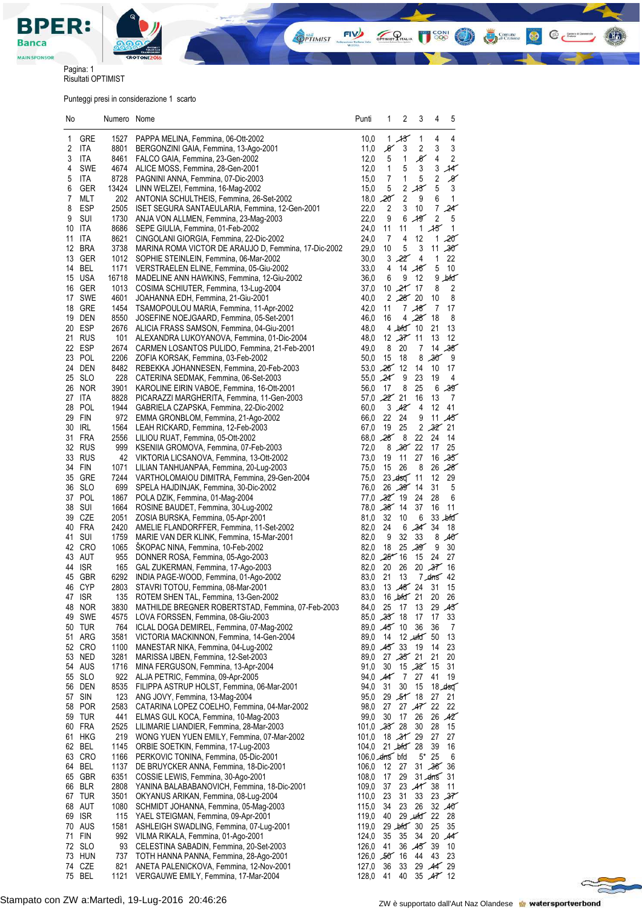

**ISS** O

 $\bigodot$   $\bigodot$   $\bigodot$   $\bigodot$ 

 $@C$ 

 $H_5$ 

OPTIMIST PITALIA

Pagina: 1 Risultati OPTIMIST

Punteggi presi in considerazione 1 scarto

| No       |                   | Numero Nome  |                                                                                         | Punti                        | 1                             | 2                   | 3                      | 4                            | 5                       |
|----------|-------------------|--------------|-----------------------------------------------------------------------------------------|------------------------------|-------------------------------|---------------------|------------------------|------------------------------|-------------------------|
| 1        | GRE               | 1527         | PAPPA MELINA, Femmina, 06-Ott-2002                                                      | 10,0                         |                               | 1,13                | 1                      | 4                            | 4                       |
| 2        | ITA               | 8801         | BERGONZINI GAIA, Femmina, 13-Ago-2001                                                   | 11,0                         | $\mathcal{X}% _{0}$           | 3                   | 2                      | 3                            | 3                       |
| 3        | ITA               | 8461         | FALCO GAIA, Femmina, 23-Gen-2002                                                        | 12,0                         | 5                             | 1                   | $_\mathscr{K}$         | 4                            | $\overline{\mathbf{c}}$ |
| 4        | <b>SWE</b>        | 4674         | ALICE MOSS, Femmina, 28-Gen-2001                                                        | 12,0                         | 1                             | 5                   | 3                      | 3                            | $\mathcal{H}$           |
| 5        | ITA               | 8728         | PAGNINI ANNA, Femmina, 07-Dic-2003                                                      | 15,0                         | 7                             | 1                   | 5                      | $\overline{\mathbf{c}}$      | $\mathscr{G}$           |
| 6        | GER               | 13424        | LINN WELZEI, Femmina, 16-Mag-2002                                                       | 15,0                         | $\sqrt{5}$                    | $\overline{c}$      | 13                     | 5                            | 3                       |
| 7        | <b>MLT</b>        | 202          | ANTONIA SCHULTHEIS, Femmina, 26-Set-2002                                                | 18,0                         | $20^{\circ}$                  | $\sqrt{2}$          | 9                      | 6                            | $\mathbf{1}$            |
| 8<br>9   | <b>ESP</b><br>SUI | 2505<br>1730 | ISET SEGURA SANTAEULARIA, Femmina, 12-Gen-2001<br>ANJA VON ALLMEN, Femmina, 23-Mag-2003 | 22,0<br>22,0                 | $\overline{2}$<br>9           | 3<br>6              | 10<br>49               | $\overline{7}$<br>$\sqrt{2}$ | 24<br>5                 |
| 10       | ITA               | 8686         | SEPE GIULIA, Femmina, 01-Feb-2002                                                       | 24,0                         | 11                            | 11                  |                        | 1.45                         | 1                       |
| 11       | ITA               | 8621         | CINGOLANI GIORGIA, Femmina, 22-Dic-2002                                                 | 24,0                         | 7                             | 4                   | 12                     | $\mathbf{1}$                 | $20^{\circ}$            |
| 12       | <b>BRA</b>        | 3738         | MARINA ROMA VICTOR DE ARAUJO D, Femmina, 17-Dic-2002                                    | 29,0                         | 10                            | $\mathbf 5$         | 3                      | 11                           | $30^{\circ}$            |
| 13       | GER               | 1012         | SOPHIE STEINLEIN, Femmina, 06-Mar-2002                                                  | 30,0                         | 3                             | 22                  | 4                      | 1                            | 22                      |
| 14       | BEL               | 1171         | VERSTRAELEN ELINE, Femmina, 05-Giu-2002                                                 | 33,0                         | 4                             |                     | 14,46                  | 5                            | 10                      |
|          | 15 USA            | 16718        | MADELINE ANN HAWKINS, Femmina, 12-Giu-2002                                              | 36,0                         | 6                             | 9                   | 12                     |                              | $9$ bid                 |
| 16       | GER               | 1013         | COSIMA SCHIUTER, Femmina, 13-Lug-2004                                                   | 37,0                         |                               | $10, 21'$ 17        |                        | 8                            | 2                       |
| 17<br>18 | SWE<br>GRE        | 4601<br>1454 | JOAHANNA EDH, Femmina, 21-Giu-2001<br>TSAMOPOULOU MARIA, Femmina, 11-Apr-2002           | 40,0<br>42,0                 | 11                            | 2,28,20             | 7,18                   | 10<br>7                      | 8<br>17                 |
| 19       | DEN               | 8550         | JOSEFINE NOEJGAARD, Femmina, 05-Set-2001                                                | 46,0                         | 16                            |                     | 4,28                   | 18                           | 8                       |
|          | 20 ESP            | 2676         | ALICIA FRASS SAMSON, Femmina, 04-Giu-2001                                               | 48,0                         |                               | $4 \text{ Jofd} 10$ |                        | 21                           | 13                      |
|          | 21 RUS            | 101          | ALEXANDRA LUKOYANOVA, Femmina, 01-Dic-2004                                              | 48,0                         |                               | 12,37,11            |                        | 13                           | 12                      |
|          | 22 ESP            | 2674         | CARMEN LOSANTOS PULIDO, Femmina, 21-Feb-2001                                            | 49,0                         | 8                             | 20                  | 7                      | 14                           | $38^\circ$              |
|          | 23 POL            | 2206         | ZOFIA KORSAK, Femmina, 03-Feb-2002                                                      | 50,0                         | 15                            | 18                  | 8                      | 30 <sup>2</sup>              | 9                       |
|          | 24 DEN            | 8482         | REBEKKA JOHANNESEN, Femmina, 20-Feb-2003                                                |                              | $53.0$ $26$ 12                |                     | 14                     | 10                           | 17                      |
|          | 25 SLO            | 228          | CATERINA SEDMAK, Femmina, 06-Set-2003                                                   |                              | 55,0 24                       | 9                   | 23                     | 19                           | 4                       |
|          | 26 NOR<br>27 ITA  | 3901<br>8828 | KAROLINE EIRIN VABOE, Femmina, 16-Ott-2001                                              | 56,0                         | 17<br>$57.0$ $22'$ 21         | 8                   | 25<br>16               | 6<br>13                      | 39<br>7                 |
|          | 28 POL            | 1944         | PICARAZZI MARGHERITA, Femmina, 11-Gen-2003<br>GABRIELA CZAPSKA, Femmina, 22-Dic-2002    | 60,0                         |                               | 3.42                | 4                      | 12                           | 41                      |
| 29       | FIN               | 972          | EMMA GRONBLOM, Femmina, 21-Ago-2002                                                     | 66,0                         | 22                            | 24                  | 9                      |                              | 11.45                   |
| 30       | IRL               | 1564         | LEAH RICKARD, Femmina, 12-Feb-2003                                                      | 67,0                         | 19                            | 25                  |                        |                              | 2,32,21                 |
| 31       | FRA               | 2556         | LILIOU RUAT, Femmina, 05-Ott-2002                                                       |                              | $68,0$ $28$                   | 8                   | 22                     | 24                           | 14                      |
|          | 32 RUS            | 999          | KSENIIA GROMOVA, Femmina, 07-Feb-2003                                                   | 72,0                         |                               | $8,30^{6}22$        |                        | 17                           | 25                      |
|          | 33 RUS            | 42           | VIKTORIA LICSANOVA, Femmina, 13-Ott-2002                                                | 73,0                         | 19                            | 11                  | 27                     |                              | 16,35                   |
|          | 34 FIN            | 1071         | LILIAN TANHUANPAA, Femmina, 20-Lug-2003                                                 | 75,0                         | 15                            | 26                  | 8                      |                              | 26,28                   |
|          | 35 GRE            | 7244         | VARTHOLOMAIOU DIMITRA, Femmina, 29-Gen-2004                                             | 75,0                         |                               | 23.450              | 11                     | 12                           | 29                      |
| 36       | <b>SLO</b>        | 699          | SPELA HAJDINJAK, Femmina, 30-Dic-2002                                                   | 76,0                         |                               | 26,39,14            |                        | 31                           | 5                       |
| 38       | 37 POL<br>SUI     | 1867<br>1664 | POLA DZIK, Femmina, 01-Mag-2004<br>ROSINE BAUDET, Femmina, 30-Lug-2002                  |                              | $77,0$ $32'$ 19<br>78,0 28 14 |                     | 24<br>37               | 28<br>16                     | 6<br>11                 |
| 39       | CZE               | 2051         | ZOSIA BURSKA, Femmina, 05-Apr-2001                                                      | 81,0                         | 32                            | 10                  | 6                      |                              | $33$ $\mu$ fd           |
| 40       | FRA               | 2420         | AMELIE FLANDORFFER, Femmina, 11-Set-2002                                                | 82,0                         | 24                            | 6                   | $34^{34}$              |                              | 18                      |
| 41       | <b>SUI</b>        | 1759         | MARIE VAN DER KLINK, Femmina, 15-Mar-2001                                               | 82,0                         | 9                             | 32                  | 33                     |                              | 8.40                    |
|          | 42 CRO            | 1065         | ŠKOPAC NINA, Femmina, 10-Feb-2002                                                       | 82,0                         | 18                            |                     | 25.39                  | 9                            | 30                      |
|          | 43 AUT            | 955          | DONNER ROSA, Femmina, 05-Ago-2003                                                       |                              | $82,0$ $25$ 16                |                     | 15                     | 24                           | 27                      |
| 44       | <b>ISR</b>        | 165          | GAL ZUKERMAN, Femmina, 17-Ago-2003                                                      | 82,0                         | 20 26                         |                     | 20,37                  |                              | 16                      |
| 45       | <b>GBR</b>        | 6292         | INDIA PAGE-WOOD, Femmina, 01-Ago-2002                                                   | 83,0                         | 21                            | 13                  |                        |                              | $7.4ns$ 42              |
|          | 46 CYP<br>47 ISR  | 2803<br>135  | STAVRI TOTOU, Femmina, 08-Mar-2001<br>ROTEM SHEN TAL, Femmina, 13-Gen-2002              | 83,0                         | 83,0 16 bfd 21 20 26          | $13,48^{6}$ 24      |                        | 31                           | 15                      |
|          | 48 NOR            | 3830         | MATHILDE BREGNER ROBERTSTAD, Femmina, 07-Feb-2003                                       | 84,0                         | 25 17                         |                     | 13                     |                              | 29,43                   |
|          | 49 SWE            | 4575         | LOVA FORSSEN, Femmina, 08-Giu-2003                                                      |                              | 85,0 23 18                    |                     | 17                     | 17                           | 33                      |
|          | 50 TUR            | 764          | ICLAL DOGA DEMIREL, Femmina, 07-Mag-2002                                                |                              | 89,0 45 10                    |                     | 36                     | 36                           | 7                       |
| 51       | ARG               | 3581         | VICTORIA MACKINNON, Femmina, 14-Gen-2004                                                | 89,0                         | 14                            |                     | $12 \times 10^{-5}$ 50 |                              | 13                      |
|          | 52 CRO            | 1100         | MANESTAR NIKA, Femmina, 04-Lug-2002                                                     |                              | 89,0 45 33                    |                     | 19                     | 14                           | 23                      |
|          | 53 NED            | 3281         | MARISSA IJBEN, Femmina, 12-Set-2003                                                     | 89,0                         |                               | $27,35$ 21          |                        | 21                           | 20                      |
|          | 54 AUS            | 1716         | MINA FERGUSON, Femmina, 13-Apr-2004                                                     | 91,0                         | 30                            | $15,32^{2}$ 15      |                        |                              | 31                      |
| 56       | 55 SLO<br>DEN     | 922<br>8535  | ALJA PETRIC, Femmina, 09-Apr-2005<br>FILIPPA ASTRUP HOLST, Femmina, 06-Mar-2001         | 94,0<br>94,0                 | $\mathcal{A}$<br>31           | 7<br>30             | 27<br>15               | 41                           | 19<br>18.450            |
| 57       | SIN               | 123          | ANG JOVY, Femmina, 13-Mag-2004                                                          | 95,0                         |                               | 29,51/18            |                        | 27                           | 21                      |
|          | 58 POR            | 2583         | CATARINA LOPEZ COELHO, Femmina, 04-Mar-2002                                             | 98,0                         | 27                            |                     | 27 $A7$ 22             |                              | 22                      |
|          | 59 TUR            | 441          | ELMAS GUL KOCA, Femmina, 10-Mag-2003                                                    | 99,0                         | 30                            | 17                  | 26                     |                              | 26,42                   |
|          | 60 FRA            | 2525         | LILIMARIE LIANDIER, Femmina, 28-Mar-2003                                                | $101,0$ $35'$ 28             |                               |                     | 30                     | 28                           | 15                      |
|          | 61 HKG            | 219          | WONG YUEN YUEN EMILY, Femmina, 07-Mar-2002                                              | 101,0                        |                               | 18,3129             |                        | 27                           | 27                      |
|          | 62 BEL            | 1145         | ORBIE SOETKIN, Femmina, 17-Lug-2003                                                     | 104,0                        |                               | $21 - b$ for $28$   |                        | 39                           | 16                      |
|          | 63 CRO            | 1166         | PERKOVIC TONINA, Femmina, 05-Dic-2001                                                   | $106,0$ $\measuredangle$ hfd |                               |                     |                        | $5*25$                       | 6                       |
|          | 64 BEL            | 1137         | DE BRUYCKER ANNA, Femmina, 18-Dic-2001                                                  | 106,0                        | 12                            | 27                  |                        | $31 - 36$                    | 36                      |
|          | 65 GBR<br>66 BLR  | 6351<br>2808 | COSSIE LEWIS, Femmina, 30-Ago-2001<br>YANINA BALABABANOVICH, Femmina, 18-Dic-2001       | 108,0<br>109,0               | 17<br>37                      | 29                  | 23 $41^{\circ}38$      | $31$ drns $31$               | 11                      |
|          | 67 TUR            | 3501         | OKYANUS ARIKAN, Femmina, 08-Lug-2004                                                    | 110,0                        | 23                            | 31                  | 33                     |                              | 23 $37$                 |
|          | 68 AUT            | 1080         | SCHMIDT JOHANNA, Femmina, 05-Mag-2003                                                   | 115,0                        | 34                            | 23                  | 26                     |                              | 32,40                   |
|          | 69 ISR            | 115          | YAEL STEIGMAN, Femmina, 09-Apr-2001                                                     | 119,0                        | 40                            |                     | $29 \text{ m}$ fd $22$ |                              | 28                      |
|          | 70 AUS            | 1581         | ASHLEIGH SWADLING, Femmina, 07-Lug-2001                                                 | 119,0                        |                               | $29$ bird $30$      |                        | 25                           | 35                      |
|          | 71 FIN            | 992          | VILMA RIKALA, Femmina, 01-Ago-2001                                                      | 124,0                        | 35                            | 35                  | 34                     |                              | 20,44                   |
| 72       | <b>SLO</b>        | 93           | CELESTINA SABADIN, Femmina, 20-Set-2003                                                 | 126,0                        | 41                            |                     | 36,45                  | 39                           | 10                      |
| 73       | HUN               | 737          | TOTH HANNA PANNA, Femmina, 28-Ago-2001                                                  | $126,0$ 50 16                |                               |                     | 44                     | 43                           | 23                      |
|          | 74 CZE            | 821          | ANETA PALENICKOVA, Femmina, 12-Nov-2001                                                 | 127,0                        | 36                            | 33                  |                        |                              | 29,447,29               |
|          | 75 BEL            | 1121         | VERGAUWE EMILY, Femmina, 17-Mar-2004                                                    | 128,0                        | 41                            | 40                  |                        |                              | $35$ $Ar$ 12            |

 $\approx$